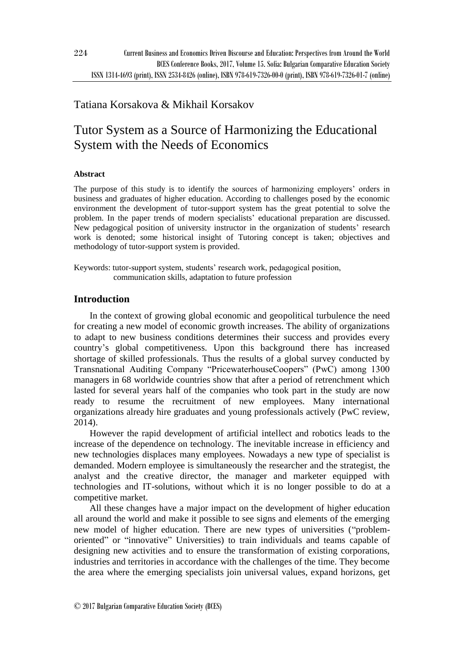## Tatiana Korsakova & Mikhail Korsakov

# Tutor System as a Source of Harmonizing the Educational System with the Needs of Economics

## **Abstract**

The purpose of this study is to identify the sources of harmonizing employers' orders in business and graduates of higher education. According to challenges posed by the economic environment the development of tutor-support system has the great potential to solve the problem. In the paper trends of modern specialists' educational preparation are discussed. New pedagogical position of university instructor in the organization of students' research work is denoted; some historical insight of Tutoring concept is taken; objectives and methodology of tutor-support system is provided.

Keywords: tutor-support system, students' research work, pedagogical position, communication skills, adaptation to future profession

## **Introduction**

In the context of growing global economic and geopolitical turbulence the need for creating a new model of economic growth increases. The ability of organizations to adapt to new business conditions determines their success and provides every country's global competitiveness. Upon this background there has increased shortage of skilled professionals. Thus the results of a global survey conducted by Transnational Auditing Company "PricewaterhouseCoopers" (PwC) among 1300 managers in 68 worldwide countries show that after a period of retrenchment which lasted for several years half of the companies who took part in the study are now ready to resume the recruitment of new employees. Many international organizations already hire graduates and young professionals actively (PwC review, 2014).

However the rapid development of artificial intellect and robotics leads to the increase of the dependence on technology. The inevitable increase in efficiency and new technologies displaces many employees. Nowadays a new type of specialist is demanded. Modern employee is simultaneously the researcher and the strategist, the analyst and the creative director, the manager and marketer equipped with technologies and IT-solutions, without which it is no longer possible to do at a competitive market.

All these changes have a major impact on the development of higher education all around the world and make it possible to see signs and elements of the emerging new model of higher education. There are new types of universities ("problemoriented" or "innovative" Universities) to train individuals and teams capable of designing new activities and to ensure the transformation of existing corporations, industries and territories in accordance with the challenges of the time. They become the area where the emerging specialists join universal values, expand horizons, get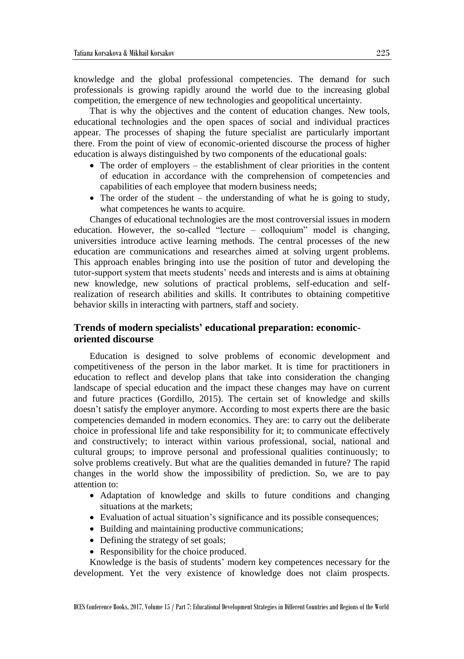knowledge and the global professional competencies. The demand for such professionals is growing rapidly around the world due to the increasing global competition, the emergence of new technologies and geopolitical uncertainty.

That is why the objectives and the content of education changes. New tools, educational technologies and the open spaces of social and individual practices appear. The processes of shaping the future specialist are particularly important there. From the point of view of economic-oriented discourse the process of higher education is always distinguished by two components of the educational goals:

- The order of employers the establishment of clear priorities in the content of education in accordance with the comprehension of competencies and capabilities of each employee that modern business needs;
- $\bullet$  The order of the student the understanding of what he is going to study, what competences he wants to acquire.

Changes of educational technologies are the most controversial issues in modern education. However, the so-called "lecture – colloquium" model is changing, universities introduce active learning methods. The central processes of the new education are communications and researches aimed at solving urgent problems. This approach enables bringing into use the position of tutor and developing the tutor-support system that meets students' needs and interests and is aims at obtaining new knowledge, new solutions of practical problems, self-education and selfrealization of research abilities and skills. It contributes to obtaining competitive behavior skills in interacting with partners, staff and society.

## **Trends of modern specialists' educational preparation: economicoriented discourse**

Education is designed to solve problems of economic development and competitiveness of the person in the labor market. It is time for practitioners in education to reflect and develop plans that take into consideration the changing landscape of special education and the impact these changes may have on current and future practices (Gordillo, 2015). The certain set of knowledge and skills doesn't satisfy the employer anymore. According to most experts there are the basic competencies demanded in modern economics. They are: to carry out the deliberate choice in professional life and take responsibility for it; to communicate effectively and constructively; to interact within various professional, social, national and cultural groups; to improve personal and professional qualities continuously; to solve problems creatively. But what are the qualities demanded in future? The rapid changes in the world show the impossibility of prediction. So, we are to pay attention to:

- Adaptation of knowledge and skills to future conditions and changing situations at the markets;
- Evaluation of actual situation's significance and its possible consequences;
- Building and maintaining productive communications;
- Defining the strategy of set goals;
- Responsibility for the choice produced.

Knowledge is the basis of students' modern key competences necessary for the development. Yet the very existence of knowledge does not claim prospects.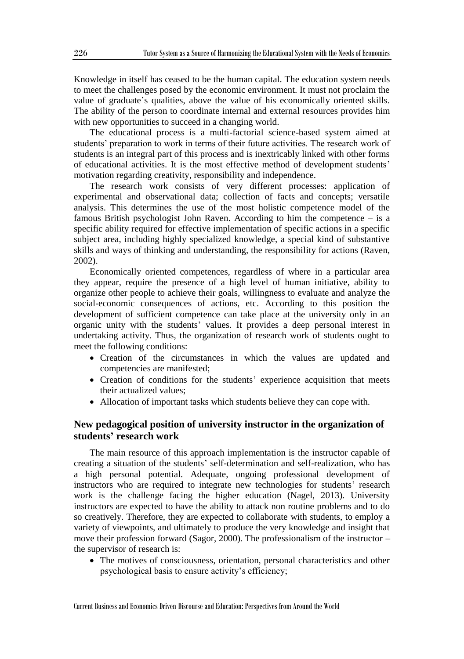Knowledge in itself has ceased to be the human capital. The education system needs to meet the challenges posed by the economic environment. It must not proclaim the value of graduate's qualities, above the value of his economically oriented skills. The ability of the person to coordinate internal and external resources provides him with new opportunities to succeed in a changing world.

The educational process is a multi-factorial science-based system aimed at students' preparation to work in terms of their future activities. The research work of students is an integral part of this process and is inextricably linked with other forms of educational activities. It is the most effective method of development students' motivation regarding creativity, responsibility and independence.

The research work consists of very different processes: application of experimental and observational data; collection of facts and concepts; versatile analysis. This determines the use of the most holistic competence model of the famous British psychologist John Raven. According to him the competence – is a specific ability required for effective implementation of specific actions in a specific subject area, including highly specialized knowledge, a special kind of substantive skills and ways of thinking and understanding, the responsibility for actions (Raven, 2002).

Economically oriented competences, regardless of where in a particular area they appear, require the presence of a high level of human initiative, ability to organize other people to achieve their goals, willingness to evaluate and analyze the social-economic consequences of actions, etc. According to this position the development of sufficient competence can take place at the university only in an organic unity with the students' values. It provides a deep personal interest in undertaking activity. Thus, the organization of research work of students ought to meet the following conditions:

- Creation of the circumstances in which the values are updated and competencies are manifested;
- Creation of conditions for the students' experience acquisition that meets their actualized values;
- Allocation of important tasks which students believe they can cope with.

## **New pedagogical position of university instructor in the organization of students' research work**

The main resource of this approach implementation is the instructor capable of creating a situation of the students' self-determination and self-realization, who has a high personal potential. Adequate, ongoing professional development of instructors who are required to integrate new technologies for students' research work is the challenge facing the higher education (Nagel, 2013). University instructors are expected to have the ability to attack non routine problems and to do so creatively. Therefore, they are expected to collaborate with students, to employ a variety of viewpoints, and ultimately to produce the very knowledge and insight that move their profession forward (Sagor, 2000). The professionalism of the instructor – the supervisor of research is:

 The motives of consciousness, orientation, personal characteristics and other psychological basis to ensure activity's efficiency;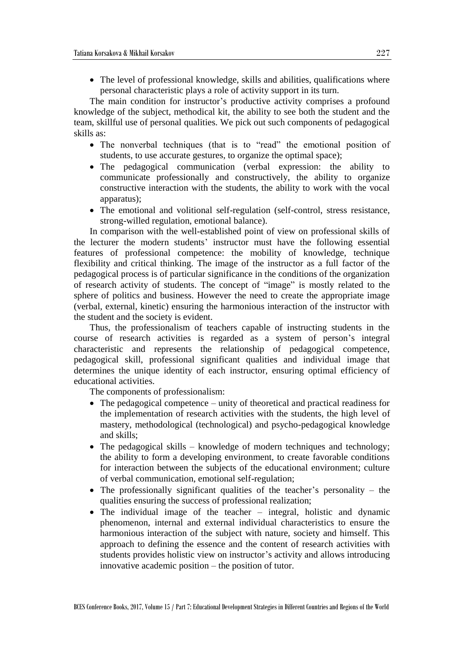The level of professional knowledge, skills and abilities, qualifications where personal characteristic plays a role of activity support in its turn.

The main condition for instructor's productive activity comprises a profound knowledge of the subject, methodical kit, the ability to see both the student and the team, skillful use of personal qualities. We pick out such components of pedagogical skills as:

- The nonverbal techniques (that is to "read" the emotional position of students, to use accurate gestures, to organize the optimal space);
- The pedagogical communication (verbal expression: the ability to communicate professionally and constructively, the ability to organize constructive interaction with the students, the ability to work with the vocal apparatus);
- The emotional and volitional self-regulation (self-control, stress resistance, strong-willed regulation, emotional balance).

In comparison with the well-established point of view on professional skills of the lecturer the modern students' instructor must have the following essential features of professional competence: the mobility of knowledge, technique flexibility and critical thinking. The image of the instructor as a full factor of the pedagogical process is of particular significance in the conditions of the organization of research activity of students. The concept of "image" is mostly related to the sphere of politics and business. However the need to create the appropriate image (verbal, external, kinetic) ensuring the harmonious interaction of the instructor with the student and the society is evident.

Thus, the professionalism of teachers capable of instructing students in the course of research activities is regarded as a system of person's integral characteristic and represents the relationship of pedagogical competence, pedagogical skill, professional significant qualities and individual image that determines the unique identity of each instructor, ensuring optimal efficiency of educational activities.

The components of professionalism:

- The pedagogical competence unity of theoretical and practical readiness for the implementation of research activities with the students, the high level of mastery, methodological (technological) and psycho-pedagogical knowledge and skills;
- The pedagogical skills knowledge of modern techniques and technology; the ability to form a developing environment, to create favorable conditions for interaction between the subjects of the educational environment; culture of verbal communication, emotional self-regulation;
- The professionally significant qualities of the teacher's personality the qualities ensuring the success of professional realization;
- The individual image of the teacher integral, holistic and dynamic phenomenon, internal and external individual characteristics to ensure the harmonious interaction of the subject with nature, society and himself. This approach to defining the essence and the content of research activities with students provides holistic view on instructor's activity and allows introducing innovative academic position – the position of tutor.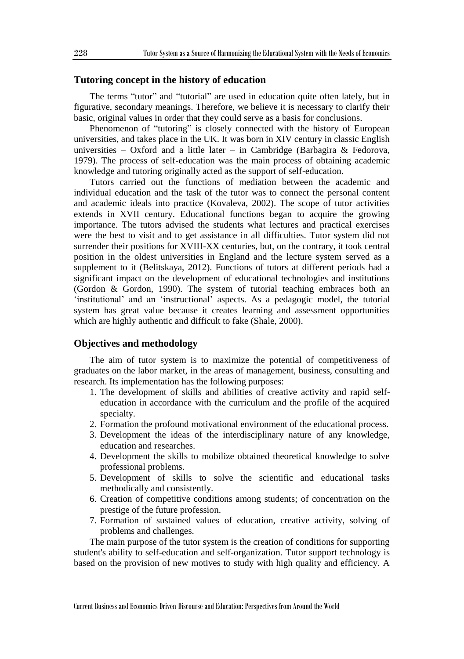### **Tutoring concept in the history of education**

The terms "tutor" and "tutorial" are used in education quite often lately, but in figurative, secondary meanings. Therefore, we believe it is necessary to clarify their basic, original values in order that they could serve as a basis for conclusions.

Phenomenon of "tutoring" is closely connected with the history of European universities, and takes place in the UK. It was born in XIV century in classic English universities – Oxford and a little later – in Cambridge (Barbagira & Fedorova, 1979). The process of self-education was the main process of obtaining academic knowledge and tutoring originally acted as the support of self-education.

Tutors carried out the functions of mediation between the academic and individual education and the task of the tutor was to connect the personal content and academic ideals into practice (Kovaleva, 2002). The scope of tutor activities extends in XVII century. Educational functions began to acquire the growing importance. The tutors advised the students what lectures and practical exercises were the best to visit and to get assistance in all difficulties. Tutor system did not surrender their positions for XVIII-XX centuries, but, on the contrary, it took central position in the oldest universities in England and the lecture system served as a supplement to it (Belitskaya, 2012). Functions of tutors at different periods had a significant impact on the development of educational technologies and institutions (Gordon & Gordon, 1990). The system of tutorial teaching embraces both an 'institutional' and an 'instructional' aspects. As a pedagogic model, the tutorial system has great value because it creates learning and assessment opportunities which are highly authentic and difficult to fake (Shale, 2000).

#### **Objectives and methodology**

The aim of tutor system is to maximize the potential of competitiveness of graduates on the labor market, in the areas of management, business, consulting and research. Its implementation has the following purposes:

- 1. The development of skills and abilities of creative activity and rapid selfeducation in accordance with the curriculum and the profile of the acquired specialty.
- 2. Formation the profound motivational environment of the educational process.
- 3. Development the ideas of the interdisciplinary nature of any knowledge, education and researches.
- 4. Development the skills to mobilize obtained theoretical knowledge to solve professional problems.
- 5. Development of skills to solve the scientific and educational tasks methodically and consistently.
- 6. Creation of competitive conditions among students; of concentration on the prestige of the future profession.
- 7. Formation of sustained values of education, creative activity, solving of problems and challenges.

The main purpose of the tutor system is the creation of conditions for supporting student's ability to self-education and self-organization. Tutor support technology is based on the provision of new motives to study with high quality and efficiency. A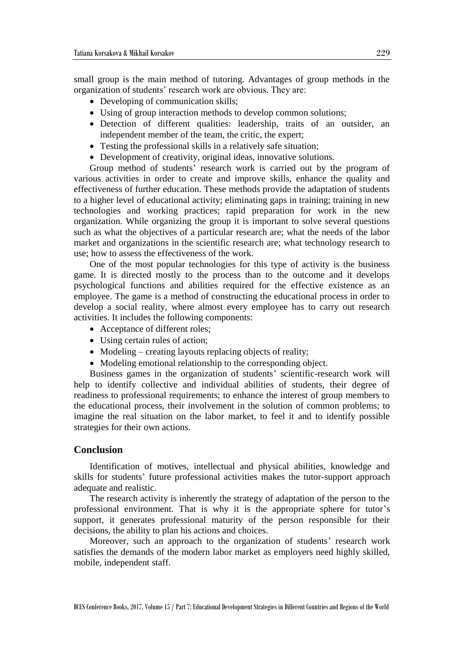small group is the main method of tutoring. Advantages of group methods in the organization of students' research work are obvious. They are:

- Developing of communication skills;
- Using of group interaction methods to develop common solutions;
- Detection of different qualities: leadership, traits of an outsider, an independent member of the team, the critic, the expert;
- Testing the professional skills in a relatively safe situation;
- Development of creativity, original ideas, innovative solutions.

Group method of students' research work is carried out by the program of various activities in order to create and improve skills, enhance the quality and effectiveness of further education. These methods provide the adaptation of students to a higher level of educational activity; eliminating gaps in training; training in new technologies and working practices; rapid preparation for work in the new organization. While organizing the group it is important to solve several questions such as what the objectives of a particular research are; what the needs of the labor market and organizations in the scientific research are; what technology research to use; how to assess the effectiveness of the work.

One of the most popular technologies for this type of activity is the business game. It is directed mostly to the process than to the outcome and it develops psychological functions and abilities required for the effective existence as an employee. The game is a method of constructing the educational process in order to develop a social reality, where almost every employee has to carry out research activities. It includes the following components:

- Acceptance of different roles;
- Using certain rules of action;
- Modeling creating layouts replacing objects of reality;
- Modeling emotional relationship to the corresponding object.

Business games in the organization of students' scientific-research work will help to identify collective and individual abilities of students, their degree of readiness to professional requirements; to enhance the interest of group members to the educational process, their involvement in the solution of common problems; to imagine the real situation on the labor market, to feel it and to identify possible strategies for their own actions.

#### **Conclusion**

Identification of motives, intellectual and physical abilities, knowledge and skills for students' future professional activities makes the tutor-support approach adequate and realistic.

The research activity is inherently the strategy of adaptation of the person to the professional environment. That is why it is the appropriate sphere for tutor's support, it generates professional maturity of the person responsible for their decisions, the ability to plan his actions and choices.

Moreover, such an approach to the organization of students' research work satisfies the demands of the modern labor market as employers need highly skilled, mobile, independent staff.